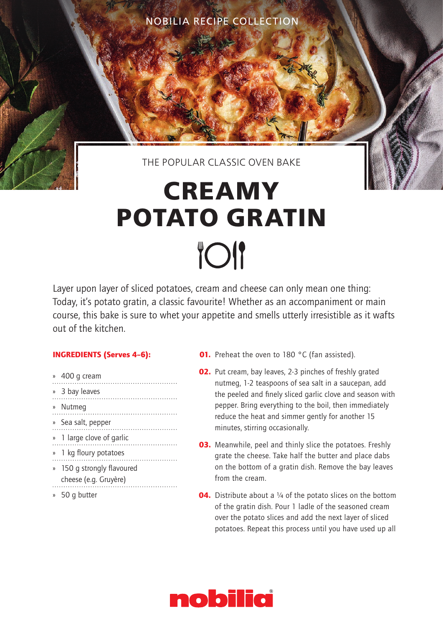NOBILIA RECIPE COLLECTION

## THE POPULAR CLASSIC OVEN BAKE

## **CREAMY POTATO GRATIN TOI**

Layer upon layer of sliced potatoes, cream and cheese can only mean one thing: Today, it's potato gratin, a classic favourite! Whether as an accompaniment or main course, this bake is sure to whet your appetite and smells utterly irresistible as it wafts out of the kitchen.

## INGREDIENTS (Serves 4–6):

- » 400 g cream
- » 3 bay leaves » Nutmeg » Sea salt, pepper » 1 large clove of garlic » 1 kg floury potatoes » 150 g strongly flavoured cheese (e.g. Gruyère) » 50 g butter

**01.** Preheat the oven to 180 °C (fan assisted).

- 02. Put cream, bay leaves, 2-3 pinches of freshly grated nutmeg, 1-2 teaspoons of sea salt in a saucepan, add the peeled and finely sliced garlic clove and season with pepper. Bring everything to the boil, then immediately reduce the heat and simmer gently for another 15 minutes, stirring occasionally.
- **03.** Meanwhile, peel and thinly slice the potatoes. Freshly grate the cheese. Take half the butter and place dabs on the bottom of a gratin dish. Remove the bay leaves from the cream.
- **04.** Distribute about a  $\frac{1}{4}$  of the potato slices on the bottom of the gratin dish. Pour 1 ladle of the seasoned cream over the potato slices and add the next layer of sliced potatoes. Repeat this process until you have used up all